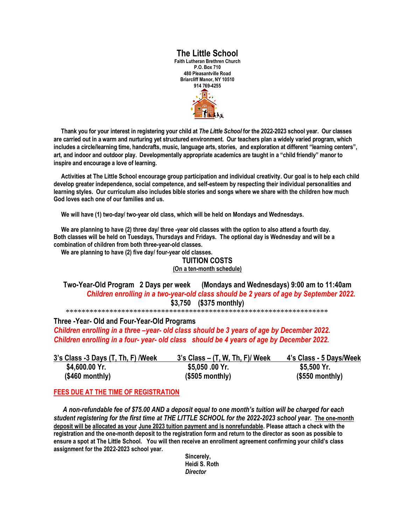## **The Little School**

**Faith Lutheran Brethren Church P.O. Box 710 480 Pleasantville Road Briarcliff Manor, NY 10510 914 769-4255**



 **Thank you for your interest in registering your child at** *The Little School* **for the 2022-2023 school year. Our classes are carried out in a warm and nurturing yet structured environment. Our teachers plan a widely varied program, which includes a circle/learning time, handcrafts, music, language arts, stories, and exploration at different "learning centers", art, and indoor and outdoor play. Developmentally appropriate academics are taught in a "child friendly" manor to inspire and encourage a love of learning.**

 **Activities at The Little School encourage group participation and individual creativity. Our goal is to help each child develop greater independence, social competence, and self-esteem by respecting their individual personalities and learning styles. Our curriculum also includes bible stories and songs where we share with the children how much God loves each one of our families and us.**

 **We will have (1) two-day/ two-year old class, which will be held on Mondays and Wednesdays.**

 **We are planning to have (2) three day/ three -year old classes with the option to also attend a fourth day. Both classes will be held on Tuesdays, Thursdays and Fridays. The optional day is Wednesday and will be a combination of children from both three-year-old classes.**

 **We are planning to have (2) five day/ four-year old classes.** 

#### **TUITION COSTS (On a ten-month schedule)**

**Two-Year-Old Program 2 Days per week (Mondays and Wednesdays) 9:00 am to 11:40am** *Children enrolling in a two-year-old class should be 2 years of age by September 2022.*  **\$3,750 (\$375 monthly)**

\*\*\*\*\*\*\*\*\*\*\*\*\*\*\*\*\*\*\*\*\*\*\*\*\*\*\*\*\*\*\*\*\*\*\*\*\*\*\*\*\*\*\*\*\*\*\*\*\*\*\*\*\*\*\*\*\*\*\*\*\*\*\*\*\*\*

#### **Three -Year- Old and Four-Year-Old Programs**

*Children enrolling in a three –year- old class should be 3 years of age by December 2022. Children enrolling in a four- year- old class should be 4 years of age by December 2022.*

| 3's Class -3 Days (T, Th, F) Week | 3's Class – (T, W, Th, F)/ Week | 4's Class - 5 Days/Week |
|-----------------------------------|---------------------------------|-------------------------|
| \$4,600.00 Yr.                    | \$5,050 .00 Yr.                 | \$5,500 Yr.             |
| $($460$ monthly)                  | $($505$ monthly)                | $($550$ monthly)        |

#### **FEES DUE AT THE TIME OF REGISTRATION**

*A non-refundable fee of \$75.00 AND a deposit equal to one month's tuition will be charged for each student registering for the first time at THE LITTLE SCHOOL for the 2022-2023 school year.* **The one-month deposit will be allocated as your June 2023 tuition payment and is nonrefundable. Please attach a check with the registration and the one-month deposit to the registration form and return to the director as soon as possible to ensure a spot at The Little School. You will then receive an enrollment agreement confirming your child's class assignment for the 2022-2023 school year.**

> **Sincerely, Heidi S. Roth** *Director*